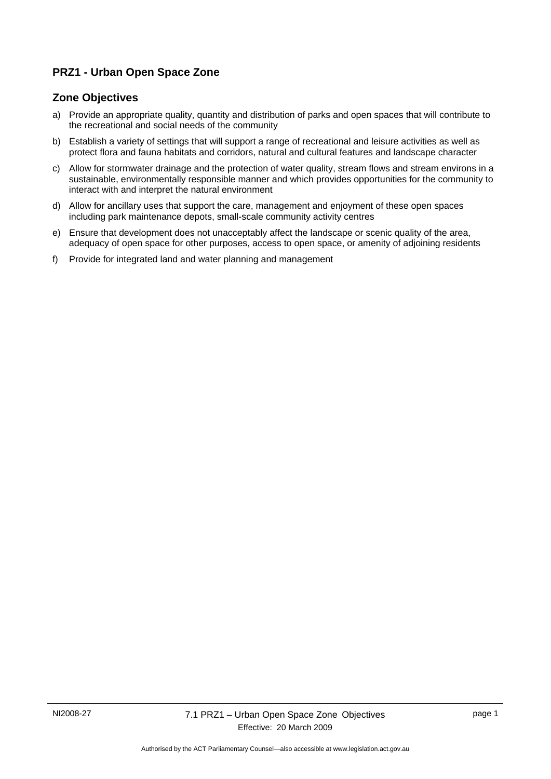# **PRZ1 - Urban Open Space Zone**

## **Zone Objectives**

- a) Provide an appropriate quality, quantity and distribution of parks and open spaces that will contribute to the recreational and social needs of the community
- b) Establish a variety of settings that will support a range of recreational and leisure activities as well as protect flora and fauna habitats and corridors, natural and cultural features and landscape character
- c) Allow for stormwater drainage and the protection of water quality, stream flows and stream environs in a sustainable, environmentally responsible manner and which provides opportunities for the community to interact with and interpret the natural environment
- d) Allow for ancillary uses that support the care, management and enjoyment of these open spaces including park maintenance depots, small-scale community activity centres
- e) Ensure that development does not unacceptably affect the landscape or scenic quality of the area, adequacy of open space for other purposes, access to open space, or amenity of adjoining residents
- f) Provide for integrated land and water planning and management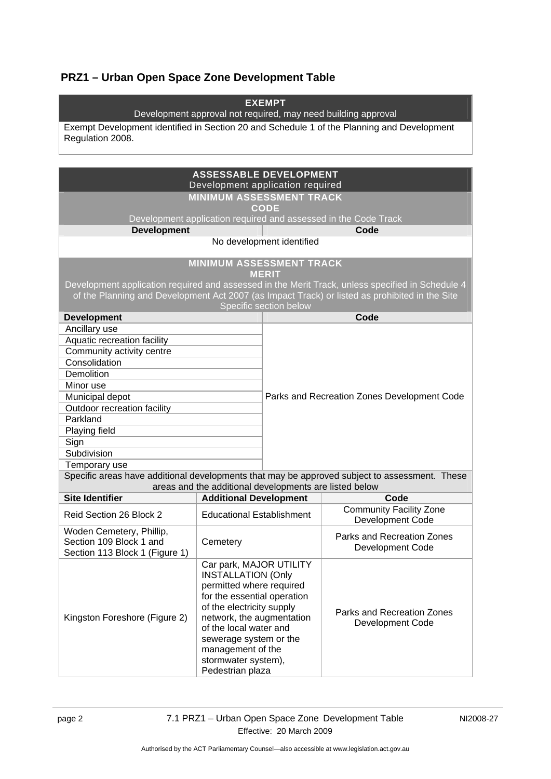# **PRZ1 – Urban Open Space Zone Development Table**

| <b>EXEMPT</b><br>Development approval not required, may need building approval<br>Exempt Development identified in Section 20 and Schedule 1 of the Planning and Development<br>Regulation 2008. |                                                                                                                                                                                                                                                                                               |                                             |                                                                                                  |  |
|--------------------------------------------------------------------------------------------------------------------------------------------------------------------------------------------------|-----------------------------------------------------------------------------------------------------------------------------------------------------------------------------------------------------------------------------------------------------------------------------------------------|---------------------------------------------|--------------------------------------------------------------------------------------------------|--|
|                                                                                                                                                                                                  | <b>ASSESSABLE DEVELOPMENT</b>                                                                                                                                                                                                                                                                 |                                             |                                                                                                  |  |
|                                                                                                                                                                                                  | Development application required<br><b>MINIMUM ASSESSMENT TRACK</b>                                                                                                                                                                                                                           |                                             |                                                                                                  |  |
|                                                                                                                                                                                                  |                                                                                                                                                                                                                                                                                               | <b>CODE</b>                                 |                                                                                                  |  |
| Development application required and assessed in the Code Track<br><b>Development</b>                                                                                                            |                                                                                                                                                                                                                                                                                               | Code                                        |                                                                                                  |  |
|                                                                                                                                                                                                  |                                                                                                                                                                                                                                                                                               | No development identified                   |                                                                                                  |  |
|                                                                                                                                                                                                  | <b>MINIMUM ASSESSMENT TRACK</b>                                                                                                                                                                                                                                                               |                                             |                                                                                                  |  |
|                                                                                                                                                                                                  |                                                                                                                                                                                                                                                                                               | <b>MERIT</b>                                |                                                                                                  |  |
|                                                                                                                                                                                                  |                                                                                                                                                                                                                                                                                               |                                             | Development application required and assessed in the Merit Track, unless specified in Schedule 4 |  |
|                                                                                                                                                                                                  |                                                                                                                                                                                                                                                                                               | Specific section below                      | of the Planning and Development Act 2007 (as Impact Track) or listed as prohibited in the Site   |  |
| <b>Development</b>                                                                                                                                                                               |                                                                                                                                                                                                                                                                                               |                                             | Code                                                                                             |  |
| Ancillary use                                                                                                                                                                                    |                                                                                                                                                                                                                                                                                               |                                             |                                                                                                  |  |
| Aquatic recreation facility                                                                                                                                                                      |                                                                                                                                                                                                                                                                                               |                                             |                                                                                                  |  |
| Community activity centre                                                                                                                                                                        |                                                                                                                                                                                                                                                                                               |                                             |                                                                                                  |  |
| Consolidation                                                                                                                                                                                    |                                                                                                                                                                                                                                                                                               |                                             |                                                                                                  |  |
| Demolition                                                                                                                                                                                       |                                                                                                                                                                                                                                                                                               |                                             |                                                                                                  |  |
| Minor use                                                                                                                                                                                        |                                                                                                                                                                                                                                                                                               |                                             |                                                                                                  |  |
| Municipal depot<br>Outdoor recreation facility                                                                                                                                                   |                                                                                                                                                                                                                                                                                               | Parks and Recreation Zones Development Code |                                                                                                  |  |
| Parkland                                                                                                                                                                                         |                                                                                                                                                                                                                                                                                               |                                             |                                                                                                  |  |
| Playing field                                                                                                                                                                                    |                                                                                                                                                                                                                                                                                               |                                             |                                                                                                  |  |
| Sign                                                                                                                                                                                             |                                                                                                                                                                                                                                                                                               |                                             |                                                                                                  |  |
| Subdivision                                                                                                                                                                                      |                                                                                                                                                                                                                                                                                               |                                             |                                                                                                  |  |
| Temporary use                                                                                                                                                                                    |                                                                                                                                                                                                                                                                                               |                                             |                                                                                                  |  |
| Specific areas have additional developments that may be approved subject to assessment. These                                                                                                    |                                                                                                                                                                                                                                                                                               |                                             |                                                                                                  |  |
|                                                                                                                                                                                                  | areas and the additional developments are listed below                                                                                                                                                                                                                                        |                                             |                                                                                                  |  |
| <b>Site Identifier</b>                                                                                                                                                                           | <b>Additional Development</b>                                                                                                                                                                                                                                                                 |                                             | Code                                                                                             |  |
| Reid Section 26 Block 2                                                                                                                                                                          | <b>Educational Establishment</b>                                                                                                                                                                                                                                                              |                                             | <b>Community Facility Zone</b><br>Development Code                                               |  |
| Woden Cemetery, Phillip,<br>Section 109 Block 1 and<br>Section 113 Block 1 (Figure 1)                                                                                                            | Cemetery                                                                                                                                                                                                                                                                                      |                                             | Parks and Recreation Zones<br><b>Development Code</b>                                            |  |
| Kingston Foreshore (Figure 2)                                                                                                                                                                    | Car park, MAJOR UTILITY<br><b>INSTALLATION (Only</b><br>permitted where required<br>for the essential operation<br>of the electricity supply<br>network, the augmentation<br>of the local water and<br>sewerage system or the<br>management of the<br>stormwater system),<br>Pedestrian plaza |                                             | Parks and Recreation Zones<br>Development Code                                                   |  |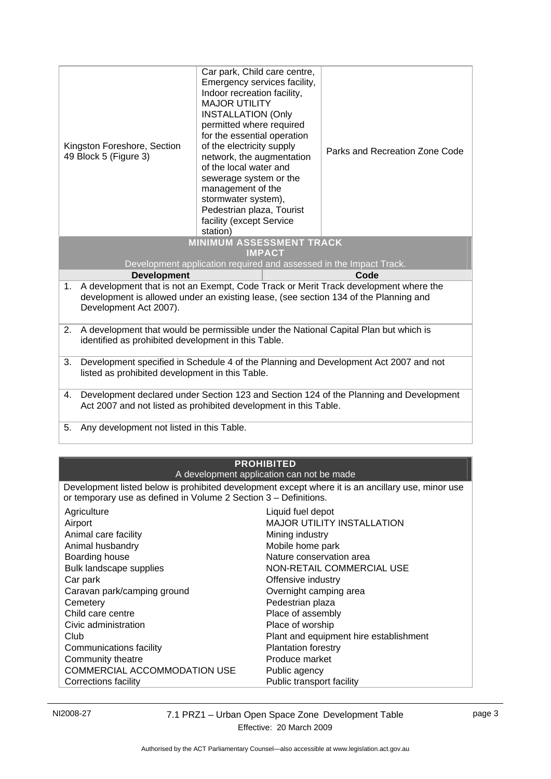| Kingston Foreshore, Section<br>49 Block 5 (Figure 3)                                                                                                                                                         | Car park, Child care centre,<br>Emergency services facility,<br>Indoor recreation facility,<br><b>MAJOR UTILITY</b><br><b>INSTALLATION (Only</b><br>permitted where required<br>for the essential operation<br>of the electricity supply<br>network, the augmentation<br>of the local water and<br>sewerage system or the<br>management of the<br>stormwater system),<br>Pedestrian plaza, Tourist<br>facility (except Service<br>station) | Parks and Recreation Zone Code |
|--------------------------------------------------------------------------------------------------------------------------------------------------------------------------------------------------------------|--------------------------------------------------------------------------------------------------------------------------------------------------------------------------------------------------------------------------------------------------------------------------------------------------------------------------------------------------------------------------------------------------------------------------------------------|--------------------------------|
| <b>MINIMUM ASSESSMENT TRACK</b><br><b>IMPACT</b>                                                                                                                                                             |                                                                                                                                                                                                                                                                                                                                                                                                                                            |                                |
|                                                                                                                                                                                                              | Development application required and assessed in the Impact Track.                                                                                                                                                                                                                                                                                                                                                                         |                                |
| <b>Development</b>                                                                                                                                                                                           |                                                                                                                                                                                                                                                                                                                                                                                                                                            | Code                           |
| A development that is not an Exempt, Code Track or Merit Track development where the<br>1.<br>development is allowed under an existing lease, (see section 134 of the Planning and<br>Development Act 2007). |                                                                                                                                                                                                                                                                                                                                                                                                                                            |                                |
| A development that would be permissible under the National Capital Plan but which is<br>2.<br>identified as prohibited development in this Table.                                                            |                                                                                                                                                                                                                                                                                                                                                                                                                                            |                                |
| Development specified in Schedule 4 of the Planning and Development Act 2007 and not<br>3.<br>listed as prohibited development in this Table.                                                                |                                                                                                                                                                                                                                                                                                                                                                                                                                            |                                |
| Development declared under Section 123 and Section 124 of the Planning and Development<br>4.<br>Act 2007 and not listed as prohibited development in this Table.                                             |                                                                                                                                                                                                                                                                                                                                                                                                                                            |                                |
| Any development not listed in this Table.<br>5.                                                                                                                                                              |                                                                                                                                                                                                                                                                                                                                                                                                                                            |                                |

#### **PROHIBITED**  A development application can not be made

Development listed below is prohibited development except where it is an ancillary use, minor use or temporary use as defined in Volume 2 Section 3 – Definitions.

| $\sim$ . $\sim$ . $\sim$ . $\sim$ . $\sim$ . $\sim$ . $\sim$ . $\sim$ . $\sim$ . $\sim$ . $\sim$ . $\sim$ . $\sim$ . $\sim$ . $\sim$ . $\sim$ . $\sim$ . $\sim$ . $\sim$ . $\sim$ . $\sim$ . $\sim$ . $\sim$ . $\sim$ . $\sim$ . $\sim$ . $\sim$ . $\sim$ . $\sim$ . $\sim$ . $\sim$ . $\sim$ |                                        |
|-----------------------------------------------------------------------------------------------------------------------------------------------------------------------------------------------------------------------------------------------------------------------------------------------|----------------------------------------|
| Agriculture                                                                                                                                                                                                                                                                                   | Liquid fuel depot                      |
| Airport                                                                                                                                                                                                                                                                                       | <b>MAJOR UTILITY INSTALLATION</b>      |
| Animal care facility                                                                                                                                                                                                                                                                          | Mining industry                        |
| Animal husbandry                                                                                                                                                                                                                                                                              | Mobile home park                       |
| Boarding house                                                                                                                                                                                                                                                                                | Nature conservation area               |
| Bulk landscape supplies                                                                                                                                                                                                                                                                       | NON-RETAIL COMMERCIAL USE              |
| Car park                                                                                                                                                                                                                                                                                      | Offensive industry                     |
| Caravan park/camping ground                                                                                                                                                                                                                                                                   | Overnight camping area                 |
| Cemetery                                                                                                                                                                                                                                                                                      | Pedestrian plaza                       |
| Child care centre                                                                                                                                                                                                                                                                             | Place of assembly                      |
| Civic administration                                                                                                                                                                                                                                                                          | Place of worship                       |
| Club                                                                                                                                                                                                                                                                                          | Plant and equipment hire establishment |
| Communications facility                                                                                                                                                                                                                                                                       | <b>Plantation forestry</b>             |
| Community theatre                                                                                                                                                                                                                                                                             | Produce market                         |
| COMMERCIAL ACCOMMODATION USE                                                                                                                                                                                                                                                                  | Public agency                          |
| Corrections facility                                                                                                                                                                                                                                                                          | Public transport facility              |
|                                                                                                                                                                                                                                                                                               |                                        |

NI2008-27 7.1 PRZ1 – Urban Open Space Zone Development Table Effective: 20 March 2009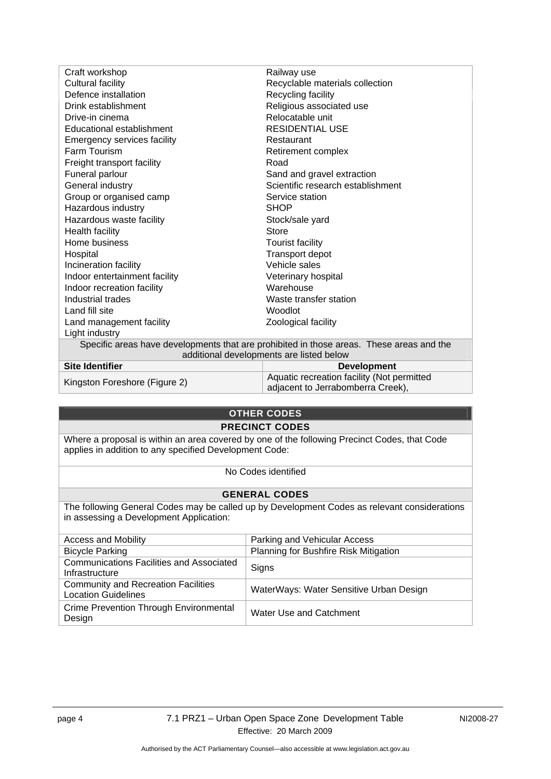| Craft workshop                                                                           | Railway use                       |  |
|------------------------------------------------------------------------------------------|-----------------------------------|--|
| Cultural facility                                                                        | Recyclable materials collection   |  |
| Defence installation                                                                     | Recycling facility                |  |
| Drink establishment                                                                      | Religious associated use          |  |
| Drive-in cinema                                                                          | Relocatable unit                  |  |
| Educational establishment                                                                | <b>RESIDENTIAL USE</b>            |  |
| <b>Emergency services facility</b>                                                       | Restaurant                        |  |
| Farm Tourism                                                                             | Retirement complex                |  |
| Freight transport facility                                                               | Road                              |  |
| Funeral parlour                                                                          | Sand and gravel extraction        |  |
| General industry                                                                         | Scientific research establishment |  |
| Group or organised camp                                                                  | Service station                   |  |
| Hazardous industry                                                                       | <b>SHOP</b>                       |  |
| Hazardous waste facility                                                                 | Stock/sale yard                   |  |
| <b>Health facility</b>                                                                   | Store                             |  |
| Home business                                                                            | <b>Tourist facility</b>           |  |
| Hospital                                                                                 | Transport depot                   |  |
| Incineration facility                                                                    | Vehicle sales                     |  |
| Indoor entertainment facility                                                            | Veterinary hospital               |  |
| Indoor recreation facility                                                               | Warehouse                         |  |
| Industrial trades                                                                        | Waste transfer station            |  |
| Land fill site                                                                           | Woodlot                           |  |
| Land management facility                                                                 | Zoological facility               |  |
| Light industry                                                                           |                                   |  |
| Specific areas have developments that are prohibited in those areas. These areas and the |                                   |  |
| additional developments are listed below                                                 |                                   |  |
| .                                                                                        |                                   |  |

| <b>Site Identifier</b>        | <b>Development</b>                                                              |
|-------------------------------|---------------------------------------------------------------------------------|
| Kingston Foreshore (Figure 2) | Aquatic recreation facility (Not permitted<br>adjacent to Jerrabomberra Creek), |

# **OTHER CODES**

### **PRECINCT CODES**

Where a proposal is within an area covered by one of the following Precinct Codes, that Code applies in addition to any specified Development Code:

No Codes identified

## **GENERAL CODES**

The following General Codes may be called up by Development Codes as relevant considerations in assessing a Development Application:

| <b>Access and Mobility</b>                                               | Parking and Vehicular Access            |
|--------------------------------------------------------------------------|-----------------------------------------|
| <b>Bicycle Parking</b>                                                   | Planning for Bushfire Risk Mitigation   |
| <b>Communications Facilities and Associated</b><br>Infrastructure        | Signs                                   |
| <b>Community and Recreation Facilities</b><br><b>Location Guidelines</b> | WaterWays: Water Sensitive Urban Design |
| Crime Prevention Through Environmental<br>Design                         | Water Use and Catchment                 |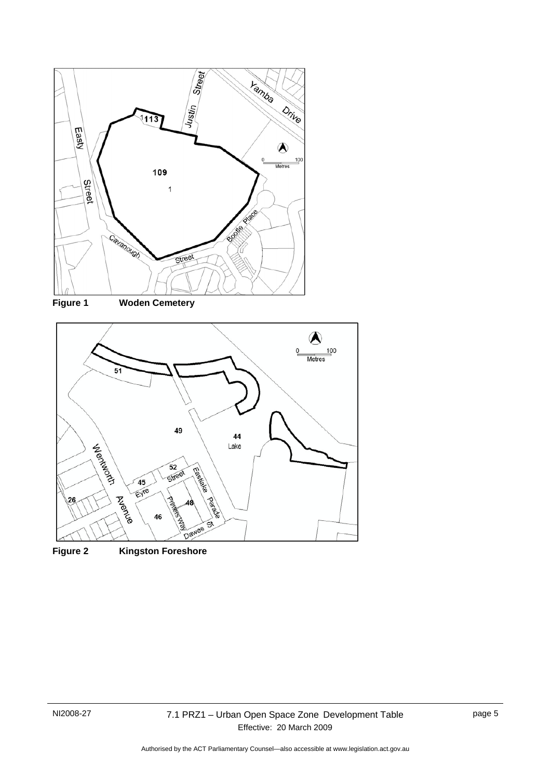



**Figure 1 Woden Cemetery** 



**Figure 2 Kingston Foreshore**